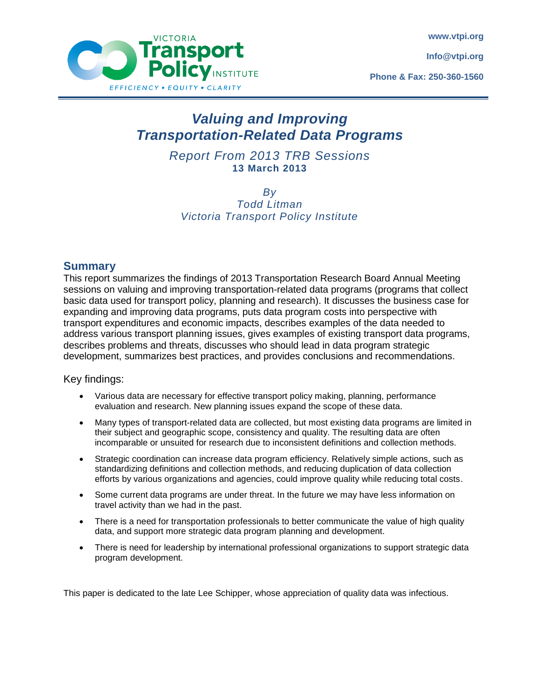**www.vtpi.org**

**Info@vtpi.org**

**Phone & Fax: 250-360-1560**



# *Valuing and Improving Transportation-Related Data Programs*

*Report From 2013 TRB Sessions* **13 March 2013**

*By Todd Litman Victoria Transport Policy Institute*

## **Summary**

This report summarizes the findings of 2013 Transportation Research Board Annual Meeting sessions on valuing and improving transportation-related data programs (programs that collect basic data used for transport policy, planning and research). It discusses the business case for expanding and improving data programs, puts data program costs into perspective with transport expenditures and economic impacts, describes examples of the data needed to address various transport planning issues, gives examples of existing transport data programs, describes problems and threats, discusses who should lead in data program strategic development, summarizes best practices, and provides conclusions and recommendations.

## Key findings:

- Various data are necessary for effective transport policy making, planning, performance evaluation and research. New planning issues expand the scope of these data.
- Many types of transport-related data are collected, but most existing data programs are limited in their subject and geographic scope, consistency and quality. The resulting data are often incomparable or unsuited for research due to inconsistent definitions and collection methods.
- Strategic coordination can increase data program efficiency. Relatively simple actions, such as standardizing definitions and collection methods, and reducing duplication of data collection efforts by various organizations and agencies, could improve quality while reducing total costs.
- Some current data programs are under threat. In the future we may have less information on travel activity than we had in the past.
- There is a need for transportation professionals to better communicate the value of high quality data, and support more strategic data program planning and development.
- There is need for leadership by international professional organizations to support strategic data program development.

This paper is dedicated to the late Lee Schipper, whose appreciation of quality data was infectious.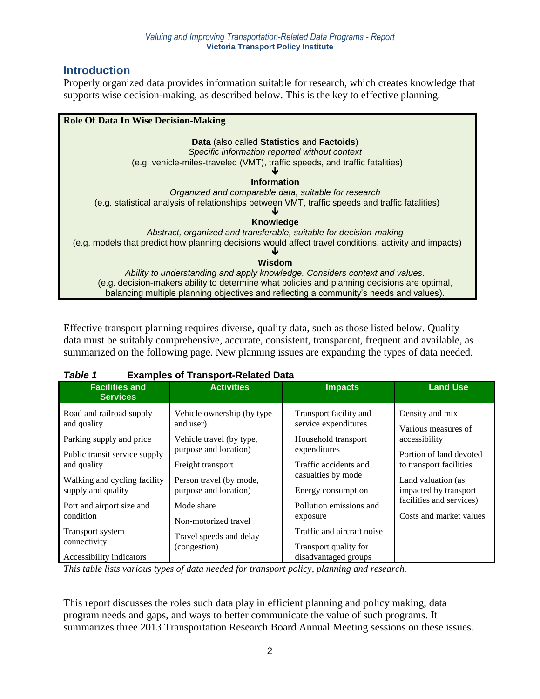# **Introduction**

Properly organized data provides information suitable for research, which creates knowledge that supports wise decision-making, as described below. This is the key to effective planning.

| <b>Role Of Data In Wise Decision-Making</b>                                                            |
|--------------------------------------------------------------------------------------------------------|
| Data (also called Statistics and Factoids)                                                             |
| Specific information reported without context                                                          |
| (e.g. vehicle-miles-traveled (VMT), traffic speeds, and traffic fatalities)                            |
| <b>Information</b>                                                                                     |
| Organized and comparable data, suitable for research                                                   |
| (e.g. statistical analysis of relationships between VMT, traffic speeds and traffic fatalities)        |
| <b>Knowledge</b>                                                                                       |
| Abstract, organized and transferable, suitable for decision-making                                     |
| (e.g. models that predict how planning decisions would affect travel conditions, activity and impacts) |
| Wisdom                                                                                                 |
| Ability to understanding and apply knowledge. Considers context and values.                            |
| (e.g. decision-makers ability to determine what policies and planning decisions are optimal,           |
| balancing multiple planning objectives and reflecting a community's needs and values).                 |

Effective transport planning requires diverse, quality data, such as those listed below. Quality data must be suitably comprehensive, accurate, consistent, transparent, frequent and available, as summarized on the following page. New planning issues are expanding the types of data needed.

| ravie i<br><b>Examples Of Transport-Related Data</b> |                                          |                                                |                                                   |  |  |  |
|------------------------------------------------------|------------------------------------------|------------------------------------------------|---------------------------------------------------|--|--|--|
| <b>Facilities and</b><br><b>Services</b>             | <b>Activities</b>                        | <b>Impacts</b>                                 | <b>Land Use</b>                                   |  |  |  |
| Road and railroad supply<br>and quality              | Vehicle ownership (by type)<br>and user) | Transport facility and<br>service expenditures | Density and mix<br>Various measures of            |  |  |  |
| Parking supply and price                             | Vehicle travel (by type,                 | Household transport                            | accessibility                                     |  |  |  |
| Public transit service supply                        | purpose and location)                    | expenditures                                   | Portion of land devoted                           |  |  |  |
| and quality                                          | Freight transport                        | Traffic accidents and                          | to transport facilities                           |  |  |  |
| Walking and cycling facility                         | Person travel (by mode,                  | casualties by mode                             | Land valuation (as                                |  |  |  |
| supply and quality                                   | purpose and location)                    | Energy consumption                             | impacted by transport<br>facilities and services) |  |  |  |
| Port and airport size and                            | Mode share                               | Pollution emissions and                        |                                                   |  |  |  |
| condition                                            | Non-motorized travel                     | exposure                                       | Costs and market values                           |  |  |  |
| Transport system                                     | Travel speeds and delay                  | Traffic and aircraft noise                     |                                                   |  |  |  |
| connectivity                                         | (congestion)                             | Transport quality for                          |                                                   |  |  |  |
| Accessibility indicators                             |                                          | disadvantaged groups                           |                                                   |  |  |  |

# *Table 1* **Examples of Transport-Related Data**

*This table lists various types of data needed for transport policy, planning and research.*

This report discusses the roles such data play in efficient planning and policy making, data program needs and gaps, and ways to better communicate the value of such programs. It summarizes three 2013 Transportation Research Board Annual Meeting sessions on these issues.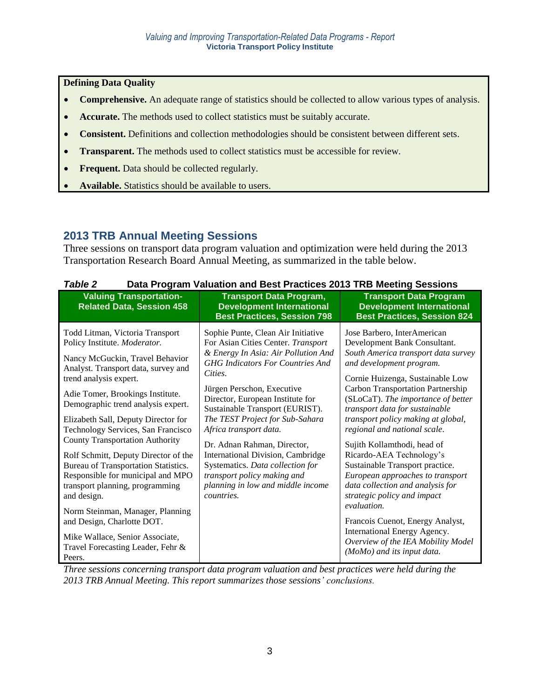**Defining Data Quality** 

- **Comprehensive.** An adequate range of statistics should be collected to allow various types of analysis.
- **Accurate.** The methods used to collect statistics must be suitably accurate.
- **Consistent.** Definitions and collection methodologies should be consistent between different sets.
- **Transparent.** The methods used to collect statistics must be accessible for review.
- **Frequent.** Data should be collected regularly.
- **Available.** Statistics should be available to users.

# **2013 TRB Annual Meeting Sessions**

Three sessions on transport data program valuation and optimization were held during the 2013 Transportation Research Board Annual Meeting, as summarized in the table below.

| I ANIC L<br>Pata Trogram Valuation and Dest Fractices 2015 The Meeting Oessions                                                                                                                                                                                                                                                                                                                                                                                                                                                                                                                                                                                                                 |                                                                                                                                                                                                                                                                                                                                                                                                                                                                                                                                          |                                                                                                                                                                                                                                                                                                                                                                                                                                                                                                                                                                                                                                                                                                                          |  |  |  |  |
|-------------------------------------------------------------------------------------------------------------------------------------------------------------------------------------------------------------------------------------------------------------------------------------------------------------------------------------------------------------------------------------------------------------------------------------------------------------------------------------------------------------------------------------------------------------------------------------------------------------------------------------------------------------------------------------------------|------------------------------------------------------------------------------------------------------------------------------------------------------------------------------------------------------------------------------------------------------------------------------------------------------------------------------------------------------------------------------------------------------------------------------------------------------------------------------------------------------------------------------------------|--------------------------------------------------------------------------------------------------------------------------------------------------------------------------------------------------------------------------------------------------------------------------------------------------------------------------------------------------------------------------------------------------------------------------------------------------------------------------------------------------------------------------------------------------------------------------------------------------------------------------------------------------------------------------------------------------------------------------|--|--|--|--|
| <b>Valuing Transportation-</b><br><b>Related Data, Session 458</b>                                                                                                                                                                                                                                                                                                                                                                                                                                                                                                                                                                                                                              | <b>Transport Data Program,</b><br><b>Development International</b><br><b>Best Practices, Session 798</b>                                                                                                                                                                                                                                                                                                                                                                                                                                 | <b>Transport Data Program</b><br><b>Development International</b><br><b>Best Practices, Session 824</b>                                                                                                                                                                                                                                                                                                                                                                                                                                                                                                                                                                                                                  |  |  |  |  |
| Todd Litman, Victoria Transport<br>Policy Institute. Moderator.<br>Nancy McGuckin, Travel Behavior<br>Analyst. Transport data, survey and<br>trend analysis expert.<br>Adie Tomer, Brookings Institute.<br>Demographic trend analysis expert.<br>Elizabeth Sall, Deputy Director for<br>Technology Services, San Francisco<br><b>County Transportation Authority</b><br>Rolf Schmitt, Deputy Director of the<br>Bureau of Transportation Statistics.<br>Responsible for municipal and MPO<br>transport planning, programming<br>and design.<br>Norm Steinman, Manager, Planning<br>and Design, Charlotte DOT.<br>Mike Wallace, Senior Associate,<br>Travel Forecasting Leader, Fehr &<br>Peers. | Sophie Punte, Clean Air Initiative<br>For Asian Cities Center. Transport<br>& Energy In Asia: Air Pollution And<br><b>GHG</b> Indicators For Countries And<br>Cities.<br>Jürgen Perschon, Executive<br>Director, European Institute for<br>Sustainable Transport (EURIST).<br>The TEST Project for Sub-Sahara<br>Africa transport data.<br>Dr. Adnan Rahman, Director,<br>International Division, Cambridge<br>Systematics. Data collection for<br>transport policy making and<br>planning in low and middle income<br><i>countries.</i> | Jose Barbero, InterAmerican<br>Development Bank Consultant.<br>South America transport data survey<br>and development program.<br>Cornie Huizenga, Sustainable Low<br><b>Carbon Transportation Partnership</b><br>(SLoCaT). The importance of better<br>transport data for sustainable<br>transport policy making at global,<br>regional and national scale.<br>Sujith Kollamthodi, head of<br>Ricardo-AEA Technology's<br>Sustainable Transport practice.<br>European approaches to transport<br>data collection and analysis for<br>strategic policy and impact<br>evaluation.<br>Francois Cuenot, Energy Analyst,<br>International Energy Agency.<br>Overview of the IEA Mobility Model<br>(MoMo) and its input data. |  |  |  |  |

| Table 2 |  |  | Data Program Valuation and Best Practices 2013 TRB Meeting Sessions |  |  |  |
|---------|--|--|---------------------------------------------------------------------|--|--|--|
|---------|--|--|---------------------------------------------------------------------|--|--|--|

*Three sessions concerning transport data program valuation and best practices were held during the 2013 TRB Annual Meeting. This report summarizes those sessions' conclusions.*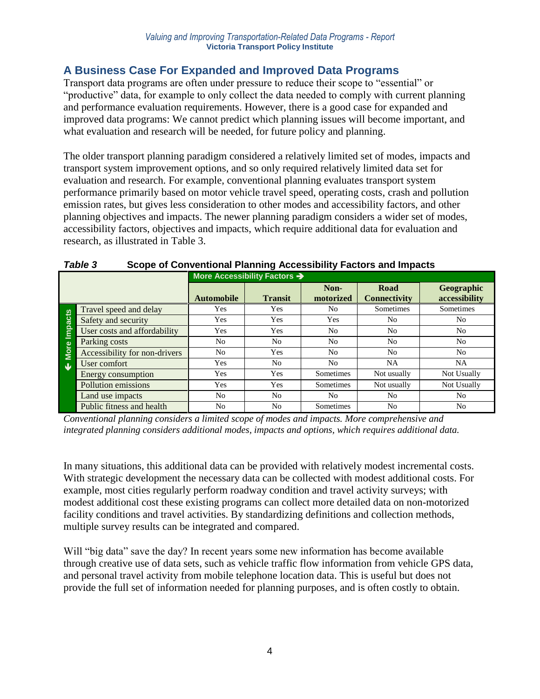# **A Business Case For Expanded and Improved Data Programs**

Transport data programs are often under pressure to reduce their scope to "essential" or "productive" data, for example to only collect the data needed to comply with current planning and performance evaluation requirements. However, there is a good case for expanded and improved data programs: We cannot predict which planning issues will become important, and what evaluation and research will be needed, for future policy and planning.

The older transport planning paradigm considered a relatively limited set of modes, impacts and transport system improvement options, and so only required relatively limited data set for evaluation and research. For example, conventional planning evaluates transport system performance primarily based on motor vehicle travel speed, operating costs, crash and pollution emission rates, but gives less consideration to other modes and accessibility factors, and other planning objectives and impacts. The newer planning paradigm considers a wider set of modes, accessibility factors, objectives and impacts, which require additional data for evaluation and research, as illustrated in Table 3.

|                         |                               | More Accessibility Factors > |                |                   |                             |                             |
|-------------------------|-------------------------------|------------------------------|----------------|-------------------|-----------------------------|-----------------------------|
|                         |                               | <b>Automobile</b>            | <b>Transit</b> | Non-<br>motorized | Road<br><b>Connectivity</b> | Geographic<br>accessibility |
|                         | Travel speed and delay        | Yes                          | Yes            | No                | Sometimes                   | Sometimes                   |
| Impacts                 | Safety and security           | Yes                          | Yes            | Yes               | N <sub>0</sub>              | N <sub>0</sub>              |
|                         | User costs and affordability  | <b>Yes</b>                   | Yes            | N <sub>o</sub>    | N <sub>o</sub>              | N <sub>0</sub>              |
|                         | Parking costs                 | No                           | No.            | No                | N <sub>o</sub>              | N <sub>0</sub>              |
| <b>More</b>             | Accessibility for non-drivers | No                           | Yes            | No                | N <sub>0</sub>              | N <sub>0</sub>              |
| $\overline{\mathbf{u}}$ | User comfort                  | Yes                          | No.            | No                | <b>NA</b>                   | <b>NA</b>                   |
|                         | Energy consumption            | Yes                          | Yes            | Sometimes         | Not usually                 | Not Usually                 |
|                         | Pollution emissions           | Yes                          | Yes            | Sometimes         | Not usually                 | Not Usually                 |
|                         | Land use impacts              | N <sub>0</sub>               | N <sub>0</sub> | No.               | N <sub>0</sub>              | N <sub>0</sub>              |
|                         | Public fitness and health     | N <sub>0</sub>               | N <sub>0</sub> | Sometimes         | N <sub>0</sub>              | N <sub>0</sub>              |

# *Table 3* **Scope of Conventional Planning Accessibility Factors and Impacts**

*Conventional planning considers a limited scope of modes and impacts. More comprehensive and integrated planning considers additional modes, impacts and options, which requires additional data.* 

In many situations, this additional data can be provided with relatively modest incremental costs. With strategic development the necessary data can be collected with modest additional costs. For example, most cities regularly perform roadway condition and travel activity surveys; with modest additional cost these existing programs can collect more detailed data on non-motorized facility conditions and travel activities. By standardizing definitions and collection methods, multiple survey results can be integrated and compared.

Will "big data" save the day? In recent years some new information has become available through creative use of data sets, such as vehicle traffic flow information from vehicle GPS data, and personal travel activity from mobile telephone location data. This is useful but does not provide the full set of information needed for planning purposes, and is often costly to obtain.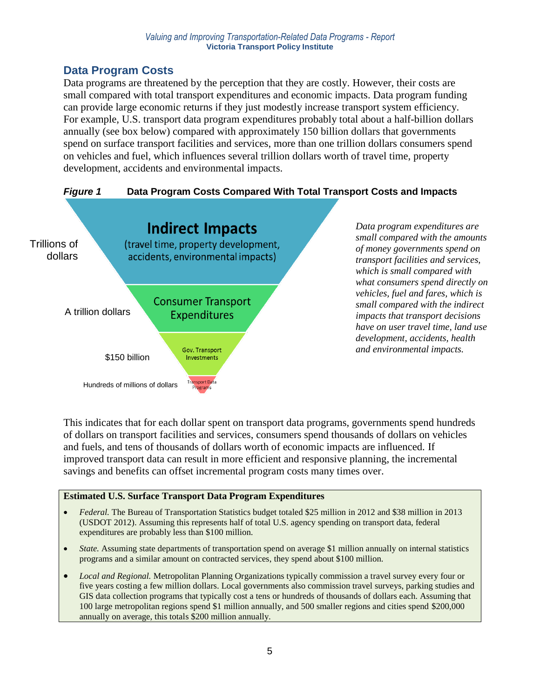# **Data Program Costs**

Data programs are threatened by the perception that they are costly. However, their costs are small compared with total transport expenditures and economic impacts. Data program funding can provide large economic returns if they just modestly increase transport system efficiency. For example, U.S. transport data program expenditures probably total about a half-billion dollars annually (see box below) compared with approximately 150 billion dollars that governments spend on surface transport facilities and services, more than one trillion dollars consumers spend on vehicles and fuel, which influences several trillion dollars worth of travel time, property development, accidents and environmental impacts.



This indicates that for each dollar spent on transport data programs, governments spend hundreds of dollars on transport facilities and services, consumers spend thousands of dollars on vehicles and fuels, and tens of thousands of dollars worth of economic impacts are influenced. If improved transport data can result in more efficient and responsive planning, the incremental savings and benefits can offset incremental program costs many times over.

## **Estimated U.S. Surface Transport Data Program Expenditures**

- *Federal.* The Bureau of Transportation Statistics budget totaled \$25 million in 2012 and \$38 million in 2013 (USDOT 2012). Assuming this represents half of total U.S. agency spending on transport data, federal expenditures are probably less than \$100 million.
- *State.* Assuming state departments of transportation spend on average \$1 million annually on internal statistics programs and a similar amount on contracted services, they spend about \$100 million.
- *Local and Regional.* Metropolitan Planning Organizations typically commission a travel survey every four or five years costing a few million dollars. Local governments also commission travel surveys, parking studies and GIS data collection programs that typically cost a tens or hundreds of thousands of dollars each. Assuming that 100 large metropolitan regions spend \$1 million annually, and 500 smaller regions and cities spend \$200,000 annually on average, this totals \$200 million annually.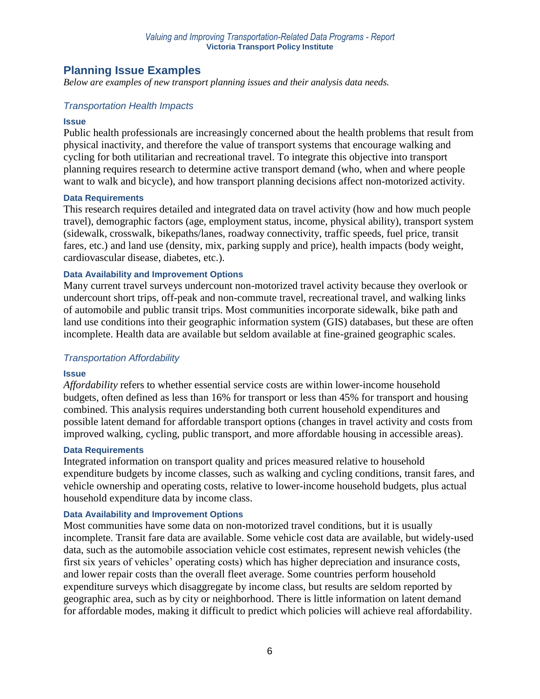## **Planning Issue Examples**

*Below are examples of new transport planning issues and their analysis data needs.*

### *Transportation Health Impacts*

#### **Issue**

Public health professionals are increasingly concerned about the health problems that result from physical inactivity, and therefore the value of transport systems that encourage walking and cycling for both utilitarian and recreational travel. To integrate this objective into transport planning requires research to determine active transport demand (who, when and where people want to walk and bicycle), and how transport planning decisions affect non-motorized activity.

#### **Data Requirements**

This research requires detailed and integrated data on travel activity (how and how much people travel), demographic factors (age, employment status, income, physical ability), transport system (sidewalk, crosswalk, bikepaths/lanes, roadway connectivity, traffic speeds, fuel price, transit fares, etc.) and land use (density, mix, parking supply and price), health impacts (body weight, cardiovascular disease, diabetes, etc.).

#### **Data Availability and Improvement Options**

Many current travel surveys undercount non-motorized travel activity because they overlook or undercount short trips, off-peak and non-commute travel, recreational travel, and walking links of automobile and public transit trips. Most communities incorporate sidewalk, bike path and land use conditions into their geographic information system (GIS) databases, but these are often incomplete. Health data are available but seldom available at fine-grained geographic scales.

### *Transportation Affordability*

### **Issue**

*Affordability* refers to whether essential service costs are within lower-income household budgets, often defined as less than 16% for transport or less than 45% for transport and housing combined. This analysis requires understanding both current household expenditures and possible latent demand for affordable transport options (changes in travel activity and costs from improved walking, cycling, public transport, and more affordable housing in accessible areas).

#### **Data Requirements**

Integrated information on transport quality and prices measured relative to household expenditure budgets by income classes, such as walking and cycling conditions, transit fares, and vehicle ownership and operating costs, relative to lower-income household budgets, plus actual household expenditure data by income class.

#### **Data Availability and Improvement Options**

Most communities have some data on non-motorized travel conditions, but it is usually incomplete. Transit fare data are available. Some vehicle cost data are available, but widely-used data, such as the automobile association vehicle cost estimates, represent newish vehicles (the first six years of vehicles' operating costs) which has higher depreciation and insurance costs, and lower repair costs than the overall fleet average. Some countries perform household expenditure surveys which disaggregate by income class, but results are seldom reported by geographic area, such as by city or neighborhood. There is little information on latent demand for affordable modes, making it difficult to predict which policies will achieve real affordability.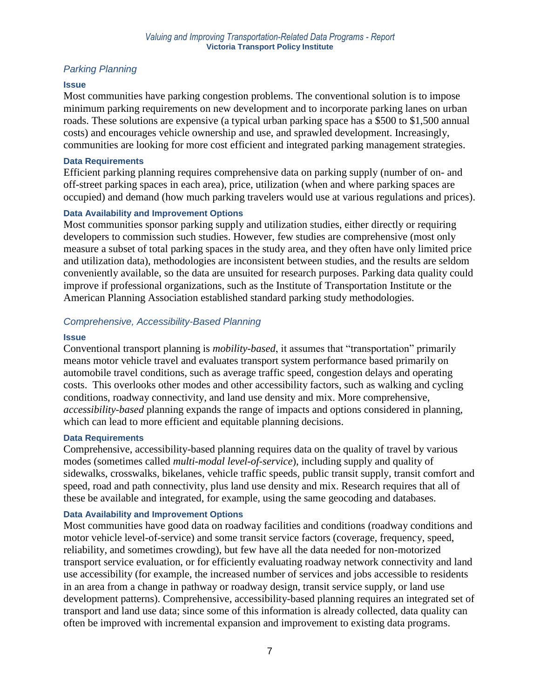## *Parking Planning*

### **Issue**

Most communities have parking congestion problems. The conventional solution is to impose minimum parking requirements on new development and to incorporate parking lanes on urban roads. These solutions are expensive (a typical urban parking space has a \$500 to \$1,500 annual costs) and encourages vehicle ownership and use, and sprawled development. Increasingly, communities are looking for more cost efficient and integrated parking management strategies.

#### **Data Requirements**

Efficient parking planning requires comprehensive data on parking supply (number of on- and off-street parking spaces in each area), price, utilization (when and where parking spaces are occupied) and demand (how much parking travelers would use at various regulations and prices).

### **Data Availability and Improvement Options**

Most communities sponsor parking supply and utilization studies, either directly or requiring developers to commission such studies. However, few studies are comprehensive (most only measure a subset of total parking spaces in the study area, and they often have only limited price and utilization data), methodologies are inconsistent between studies, and the results are seldom conveniently available, so the data are unsuited for research purposes. Parking data quality could improve if professional organizations, such as the Institute of Transportation Institute or the American Planning Association established standard parking study methodologies.

### *Comprehensive, Accessibility-Based Planning*

### **Issue**

Conventional transport planning is *mobility-based*, it assumes that "transportation" primarily means motor vehicle travel and evaluates transport system performance based primarily on automobile travel conditions, such as average traffic speed, congestion delays and operating costs. This overlooks other modes and other accessibility factors, such as walking and cycling conditions, roadway connectivity, and land use density and mix. More comprehensive, *accessibility-based* planning expands the range of impacts and options considered in planning, which can lead to more efficient and equitable planning decisions.

### **Data Requirements**

Comprehensive, accessibility-based planning requires data on the quality of travel by various modes (sometimes called *multi-modal level-of-service*), including supply and quality of sidewalks, crosswalks, bikelanes, vehicle traffic speeds, public transit supply, transit comfort and speed, road and path connectivity, plus land use density and mix. Research requires that all of these be available and integrated, for example, using the same geocoding and databases.

### **Data Availability and Improvement Options**

Most communities have good data on roadway facilities and conditions (roadway conditions and motor vehicle level-of-service) and some transit service factors (coverage, frequency, speed, reliability, and sometimes crowding), but few have all the data needed for non-motorized transport service evaluation, or for efficiently evaluating roadway network connectivity and land use accessibility (for example, the increased number of services and jobs accessible to residents in an area from a change in pathway or roadway design, transit service supply, or land use development patterns). Comprehensive, accessibility-based planning requires an integrated set of transport and land use data; since some of this information is already collected, data quality can often be improved with incremental expansion and improvement to existing data programs.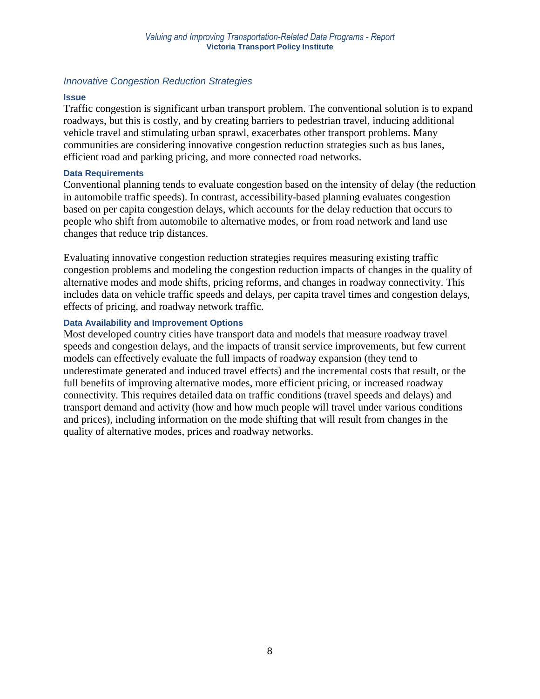### *Innovative Congestion Reduction Strategies*

#### **Issue**

Traffic congestion is significant urban transport problem. The conventional solution is to expand roadways, but this is costly, and by creating barriers to pedestrian travel, inducing additional vehicle travel and stimulating urban sprawl, exacerbates other transport problems. Many communities are considering innovative congestion reduction strategies such as bus lanes, efficient road and parking pricing, and more connected road networks.

#### **Data Requirements**

Conventional planning tends to evaluate congestion based on the intensity of delay (the reduction in automobile traffic speeds). In contrast, accessibility-based planning evaluates congestion based on per capita congestion delays, which accounts for the delay reduction that occurs to people who shift from automobile to alternative modes, or from road network and land use changes that reduce trip distances.

Evaluating innovative congestion reduction strategies requires measuring existing traffic congestion problems and modeling the congestion reduction impacts of changes in the quality of alternative modes and mode shifts, pricing reforms, and changes in roadway connectivity. This includes data on vehicle traffic speeds and delays, per capita travel times and congestion delays, effects of pricing, and roadway network traffic.

### **Data Availability and Improvement Options**

Most developed country cities have transport data and models that measure roadway travel speeds and congestion delays, and the impacts of transit service improvements, but few current models can effectively evaluate the full impacts of roadway expansion (they tend to underestimate generated and induced travel effects) and the incremental costs that result, or the full benefits of improving alternative modes, more efficient pricing, or increased roadway connectivity. This requires detailed data on traffic conditions (travel speeds and delays) and transport demand and activity (how and how much people will travel under various conditions and prices), including information on the mode shifting that will result from changes in the quality of alternative modes, prices and roadway networks.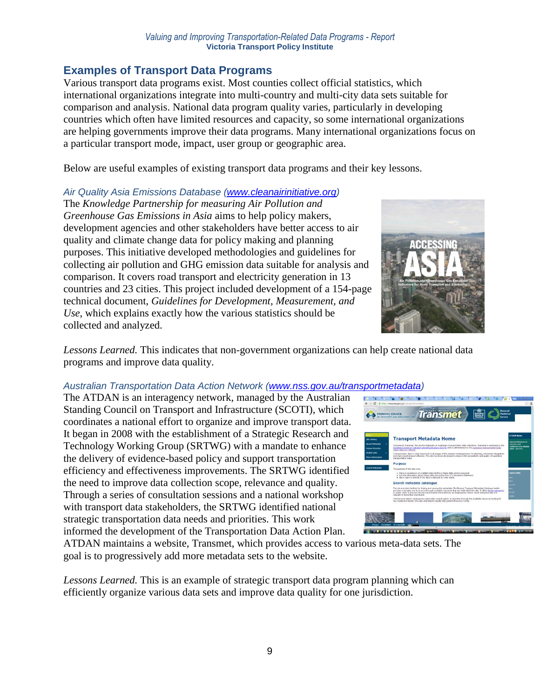# **Examples of Transport Data Programs**

Various transport data programs exist. Most counties collect official statistics, which international organizations integrate into multi-country and multi-city data sets suitable for comparison and analysis. National data program quality varies, particularly in developing countries which often have limited resources and capacity, so some international organizations are helping governments improve their data programs. Many international organizations focus on a particular transport mode, impact, user group or geographic area.

Below are useful examples of existing transport data programs and their key lessons.

## *Air Quality Asia Emissions Database [\(www.cleanairinitiative.org\)](http://www.cleanairinitiative.org/)*

The *Knowledge Partnership for measuring Air Pollution and Greenhouse Gas Emissions in Asia* aims to help policy makers, development agencies and other stakeholders have better access to air quality and climate change data for policy making and planning purposes. This initiative developed methodologies and guidelines for collecting air pollution and GHG emission data suitable for analysis and comparison. It covers road transport and electricity generation in 13 countries and 23 cities. This project included development of a 154-page technical document, *Guidelines for Development, Measurement, and Use*, which explains exactly how the various statistics should be collected and analyzed.



*Lessons Learned.* This indicates that non-government organizations can help create national data programs and improve data quality.

## *Australian Transportation Data Action Network [\(www.nss.gov.au/transportmetadata\)](http://www.nss.gov.au/transportmetadata)*

The ATDAN is an interagency network, managed by the Australian Standing Council on Transport and Infrastructure (SCOTI), which coordinates a national effort to organize and improve transport data. It began in 2008 with the establishment of a Strategic Research and Technology Working Group (SRTWG) with a mandate to enhance the delivery of evidence-based policy and support transportation efficiency and effectiveness improvements. The SRTWG identified the need to improve data collection scope, relevance and quality. Through a series of consultation sessions and a national workshop with transport data stakeholders, the SRTWG identified national strategic transportation data needs and priorities. This work informed the development of the Transportation Data Action Plan.



ATDAN maintains a website, Transmet, which provides access to various meta-data sets. The goal is to progressively add more metadata sets to the website.

*Lessons Learned.* This is an example of strategic transport data program planning which can efficiently organize various data sets and improve data quality for one jurisdiction.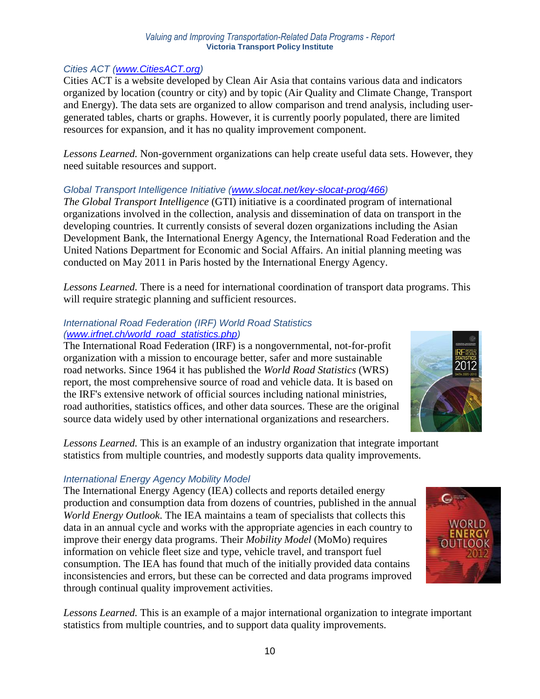### *Cities ACT [\(www.CitiesACT.org\)](http://www.citiesact.org/)*

Cities ACT is a website developed by Clean Air Asia that contains various data and indicators organized by location (country or city) and by topic (Air Quality and Climate Change, Transport and Energy). The data sets are organized to allow comparison and trend analysis, including usergenerated tables, charts or graphs. However, it is currently poorly populated, there are limited resources for expansion, and it has no quality improvement component.

*Lessons Learned.* Non-government organizations can help create useful data sets. However, they need suitable resources and support.

### *Global Transport Intelligence Initiative [\(www.slocat.net/key-slocat-prog/466\)](http://www.slocat.net/key-slocat-prog/466)*

*The Global Transport Intelligence* (GTI) initiative is a coordinated program of international organizations involved in the collection, analysis and dissemination of data on transport in the developing countries. It currently consists of several dozen organizations including the Asian Development Bank, the International Energy Agency, the International Road Federation and the United Nations Department for Economic and Social Affairs. An initial planning meeting was conducted on May 2011 in Paris hosted by the International Energy Agency.

*Lessons Learned.* There is a need for international coordination of transport data programs. This will require strategic planning and sufficient resources.

### *International Road Federation (IRF) World Road Statistics [\(www.irfnet.ch/world\\_road\\_statistics.php\)](http://www.irfnet.ch/world_road_statistics.php)*

The International Road Federation (IRF) is a nongovernmental, not-for-profit organization with a mission to encourage better, safer and more sustainable road networks. Since 1964 it has published the *World Road Statistics* (WRS) report, the most comprehensive source of road and vehicle data. It is based on the IRF's extensive network of official sources including national ministries, road authorities, statistics offices, and other data sources. These are the original source data widely used by other international organizations and researchers.



*Lessons Learned.* This is an example of an industry organization that integrate important statistics from multiple countries, and modestly supports data quality improvements.

## *International Energy Agency Mobility Model*

The International Energy Agency (IEA) collects and reports detailed energy production and consumption data from dozens of countries, published in the annual *World Energy Outlook*. The IEA maintains a team of specialists that collects this data in an annual cycle and works with the appropriate agencies in each country to improve their energy data programs. Their *Mobility Model* (MoMo) requires information on vehicle fleet size and type, vehicle travel, and transport fuel consumption. The IEA has found that much of the initially provided data contains inconsistencies and errors, but these can be corrected and data programs improved through continual quality improvement activities.

*Lessons Learned.* This is an example of a major international organization to integrate important statistics from multiple countries, and to support data quality improvements.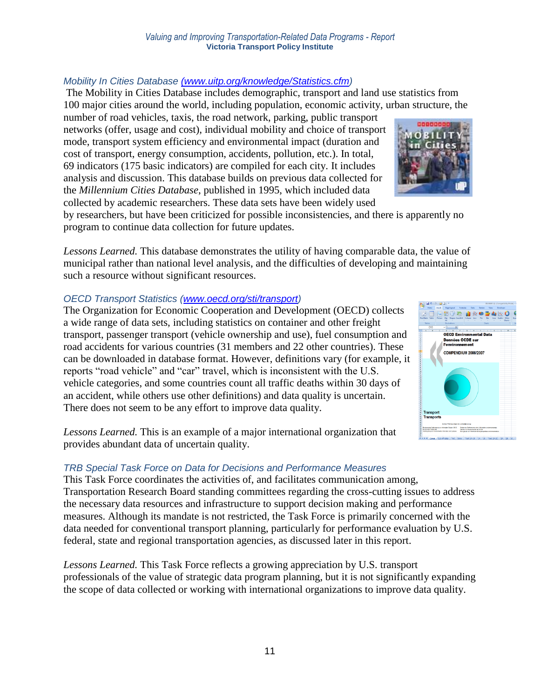#### *Mobility In Cities Database [\(www.uitp.org/knowledge/Statistics.cfm\)](http://(www.uitp.org/knowledge/Statistics.cfm)*  The Mobility in Cities Database includes demographic, transport and land use statistics from 100 major cities around the world, including population, economic activity, urban structure, the

number of road vehicles, taxis, the road network, parking, public transport networks (offer, usage and cost), individual mobility and choice of transport mode, transport system efficiency and environmental impact (duration and cost of transport, energy consumption, accidents, pollution, etc.). In total, 69 indicators (175 basic indicators) are compiled for each city. It includes analysis and discussion. This database builds on previous data collected for the *Millennium Cities Database*, published in 1995, which included data collected by academic researchers. These data sets have been widely used



by researchers, but have been criticized for possible inconsistencies, and there is apparently no program to continue data collection for future updates.

*Lessons Learned.* This database demonstrates the utility of having comparable data, the value of municipal rather than national level analysis, and the difficulties of developing and maintaining such a resource without significant resources.

#### *OECD Transport Statistics [\(www.oecd.org/sti/transport\)](http://www.oecd.org/sti/transport)*

The Organization for Economic Cooperation and Development (OECD) collects a wide range of data sets, including statistics on container and other freight transport, passenger transport (vehicle ownership and use), fuel consumption and road accidents for various countries (31 members and 22 other countries). These can be downloaded in database format. However, definitions vary (for example, it reports "road vehicle" and "car" travel, which is inconsistent with the U.S. vehicle categories, and some countries count all traffic deaths within 30 days of an accident, while others use other definitions) and data quality is uncertain. There does not seem to be any effort to improve data quality.

*Lessons Learned.* This is an example of a major international organization that provides abundant data of uncertain quality.

#### *TRB Special Task Force on Data for Decisions and Performance Measures*

This Task Force coordinates the activities of, and facilitates communication among, Transportation Research Board standing committees regarding the cross-cutting issues to address the necessary data resources and infrastructure to support decision making and performance measures. Although its mandate is not restricted, the Task Force is primarily concerned with the data needed for conventional transport planning, particularly for performance evaluation by U.S. federal, state and regional transportation agencies, as discussed later in this report.

*Lessons Learned.* This Task Force reflects a growing appreciation by U.S. transport professionals of the value of strategic data program planning, but it is not significantly expanding the scope of data collected or working with international organizations to improve data quality.

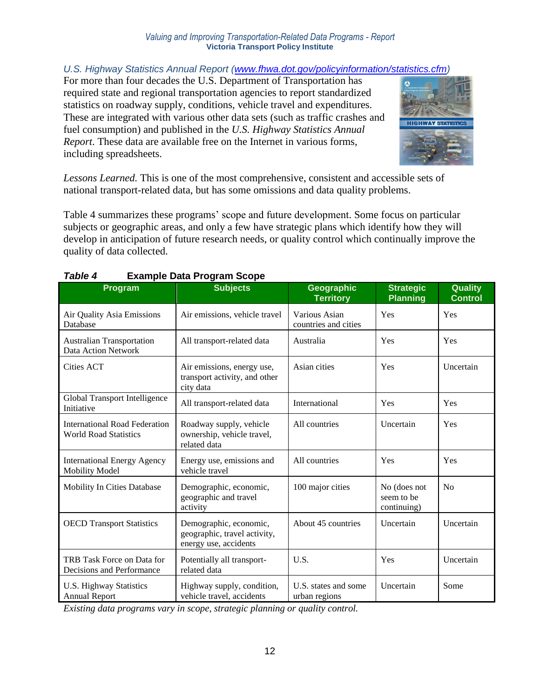*U.S. Highway Statistics Annual Report [\(www.fhwa.dot.gov/policyinformation/statistics.cfm\)](http://www.fhwa.dot.gov/policyinformation/statistics.cfm)* 

For more than four decades the U.S. Department of Transportation has required state and regional transportation agencies to report standardized statistics on roadway supply, conditions, vehicle travel and expenditures. These are integrated with various other data sets (such as traffic crashes and fuel consumption) and published in the *U.S. Highway Statistics Annual Report*. These data are available free on the Internet in various forms, including spreadsheets.



*Lessons Learned.* This is one of the most comprehensive, consistent and accessible sets of national transport-related data, but has some omissions and data quality problems.

Table 4 summarizes these programs' scope and future development. Some focus on particular subjects or geographic areas, and only a few have strategic plans which identify how they will develop in anticipation of future research needs, or quality control which continually improve the quality of data collected.

| Program                                                              | <b>Subjects</b>                                                                 | <b>Geographic</b><br><b>Territory</b> | <b>Strategic</b><br><b>Planning</b>       | <b>Quality</b><br><b>Control</b> |
|----------------------------------------------------------------------|---------------------------------------------------------------------------------|---------------------------------------|-------------------------------------------|----------------------------------|
| Air Quality Asia Emissions<br>Database                               | Air emissions, vehicle travel                                                   | Various Asian<br>countries and cities | Yes                                       | Yes                              |
| <b>Australian Transportation</b><br>Data Action Network              | All transport-related data                                                      | Australia                             | Yes                                       | Yes                              |
| Cities ACT                                                           | Air emissions, energy use,<br>transport activity, and other<br>city data        | Asian cities                          | Yes                                       | Uncertain                        |
| Global Transport Intelligence<br>Initiative                          | All transport-related data                                                      | International                         | Yes                                       | Yes                              |
| <b>International Road Federation</b><br><b>World Road Statistics</b> | Roadway supply, vehicle<br>ownership, vehicle travel,<br>related data           | All countries                         | Uncertain                                 | Yes                              |
| <b>International Energy Agency</b><br><b>Mobility Model</b>          | Energy use, emissions and<br>vehicle travel                                     | All countries                         | Yes                                       | Yes                              |
| <b>Mobility In Cities Database</b>                                   | Demographic, economic,<br>geographic and travel<br>activity                     | 100 major cities                      | No (does not<br>seem to be<br>continuing) | N <sub>0</sub>                   |
| <b>OECD Transport Statistics</b>                                     | Demographic, economic,<br>geographic, travel activity,<br>energy use, accidents | About 45 countries                    | Uncertain                                 | Uncertain                        |
| TRB Task Force on Data for<br>Decisions and Performance              | Potentially all transport-<br>related data                                      | U.S.                                  | Yes                                       | Uncertain                        |
| <b>U.S. Highway Statistics</b><br><b>Annual Report</b>               | Highway supply, condition,<br>vehicle travel, accidents                         | U.S. states and some<br>urban regions | Uncertain                                 | Some                             |

# *Table 4* **Example Data Program Scope**

*Existing data programs vary in scope, strategic planning or quality control.*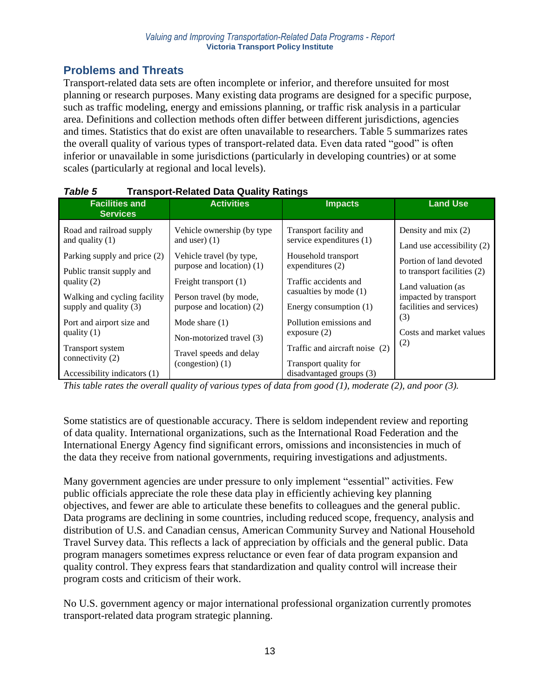# **Problems and Threats**

Transport-related data sets are often incomplete or inferior, and therefore unsuited for most planning or research purposes. Many existing data programs are designed for a specific purpose, such as traffic modeling, energy and emissions planning, or traffic risk analysis in a particular area. Definitions and collection methods often differ between different jurisdictions, agencies and times. Statistics that do exist are often unavailable to researchers. Table 5 summarizes rates the overall quality of various types of transport-related data. Even data rated "good" is often inferior or unavailable in some jurisdictions (particularly in developing countries) or at some scales (particularly at regional and local levels).

| <b>Facilities and</b><br><b>Services</b>                             | <b>Activities</b>                             | <b>Impacts</b>                                                                      | <b>Land Use</b>              |
|----------------------------------------------------------------------|-----------------------------------------------|-------------------------------------------------------------------------------------|------------------------------|
| Road and railroad supply                                             | Vehicle ownership (by type)                   | Transport facility and                                                              | Density and mix $(2)$        |
| and quality $(1)$                                                    | and user $(1)$                                | service expenditures (1)                                                            | Land use accessibility $(2)$ |
| Parking supply and price (2)                                         | Vehicle travel (by type,                      | Household transport                                                                 | Portion of land devoted      |
| Public transit supply and                                            | purpose and location) (1)                     | expenditures (2)                                                                    | to transport facilities (2)  |
| quality $(2)$                                                        | Freight transport (1)                         | Traffic accidents and                                                               | Land valuation (as           |
| Walking and cycling facility                                         | Person travel (by mode,                       | casualties by mode (1)                                                              | impacted by transport        |
| supply and quality $(3)$                                             | purpose and location) (2)                     | Energy consumption $(1)$                                                            | facilities and services)     |
| Port and airport size and                                            | Mode share $(1)$                              | Pollution emissions and                                                             | (3)                          |
| quality $(1)$                                                        | Non-motorized travel (3)                      | exposure $(2)$                                                                      | Costs and market values      |
| Transport system<br>connectivity (2)<br>Accessibility indicators (1) | Travel speeds and delay<br>$(congestion)$ (1) | Traffic and aircraft noise (2)<br>Transport quality for<br>disadvantaged groups (3) | (2)                          |

### *Table 5* **Transport-Related Data Quality Ratings**

*This table rates the overall quality of various types of data from good (1), moderate (2), and poor (3).*

Some statistics are of questionable accuracy. There is seldom independent review and reporting of data quality. International organizations, such as the International Road Federation and the International Energy Agency find significant errors, omissions and inconsistencies in much of the data they receive from national governments, requiring investigations and adjustments.

Many government agencies are under pressure to only implement "essential" activities. Few public officials appreciate the role these data play in efficiently achieving key planning objectives, and fewer are able to articulate these benefits to colleagues and the general public. Data programs are declining in some countries, including reduced scope, frequency, analysis and distribution of U.S. and Canadian census, American Community Survey and National Household Travel Survey data. This reflects a lack of appreciation by officials and the general public. Data program managers sometimes express reluctance or even fear of data program expansion and quality control. They express fears that standardization and quality control will increase their program costs and criticism of their work.

No U.S. government agency or major international professional organization currently promotes transport-related data program strategic planning.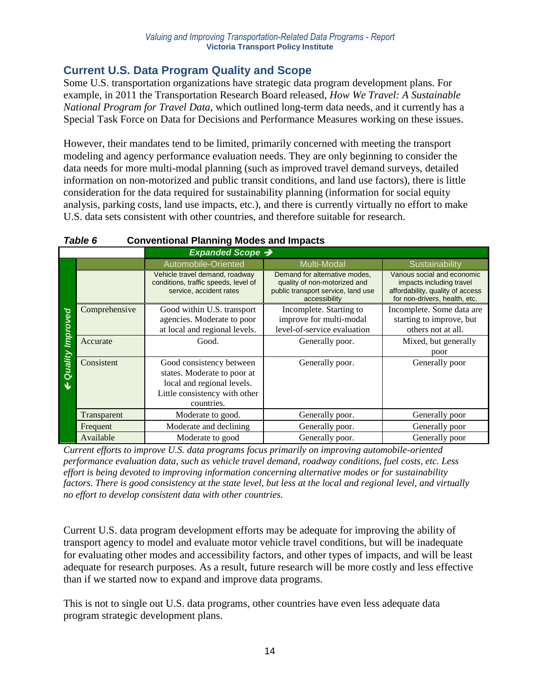# **Current U.S. Data Program Quality and Scope**

Some U.S. transportation organizations have strategic data program development plans. For example, in 2011 the Transportation Research Board released, *How We Travel: A Sustainable National Program for Travel Data*, which outlined long-term data needs, and it currently has a Special Task Force on Data for Decisions and Performance Measures working on these issues.

However, their mandates tend to be limited, primarily concerned with meeting the transport modeling and agency performance evaluation needs. They are only beginning to consider the data needs for more multi-modal planning (such as improved travel demand surveys, detailed information on non-motorized and public transit conditions, and land use factors), there is little consideration for the data required for sustainability planning (information for social equity analysis, parking costs, land use impacts, etc.), and there is currently virtually no effort to make U.S. data sets consistent with other countries, and therefore suitable for research.

|         | Expanded Scope → |                                                                                                                                      |                                                                                                                      |                                                                                                                              |  |  |  |
|---------|------------------|--------------------------------------------------------------------------------------------------------------------------------------|----------------------------------------------------------------------------------------------------------------------|------------------------------------------------------------------------------------------------------------------------------|--|--|--|
|         |                  | Automobile-Oriented                                                                                                                  | Multi-Modal                                                                                                          | Sustainability                                                                                                               |  |  |  |
|         |                  | Vehicle travel demand, roadway<br>conditions, traffic speeds, level of<br>service, accident rates                                    | Demand for alternative modes,<br>quality of non-motorized and<br>public transport service, land use<br>accessibility | Various social and economic<br>impacts including travel<br>affordability, quality of access<br>for non-drivers, health, etc. |  |  |  |
| ed      | Comprehensive    | Good within U.S. transport<br>agencies. Moderate to poor<br>at local and regional levels.                                            | Incomplete. Starting to<br>improve for multi-modal<br>level-of-service evaluation                                    | Incomplete. Some data are<br>starting to improve, but<br>others not at all.                                                  |  |  |  |
|         | Accurate         | Good.                                                                                                                                | Generally poor.                                                                                                      | Mixed, but generally<br>poor                                                                                                 |  |  |  |
| Quality | Consistent       | Good consistency between<br>states. Moderate to poor at<br>local and regional levels.<br>Little consistency with other<br>countries. | Generally poor.                                                                                                      | Generally poor                                                                                                               |  |  |  |
|         | Transparent      | Moderate to good.                                                                                                                    | Generally poor.                                                                                                      | Generally poor                                                                                                               |  |  |  |
|         | Frequent         | Moderate and declining                                                                                                               | Generally poor.                                                                                                      | Generally poor                                                                                                               |  |  |  |
|         | Available        | Moderate to good                                                                                                                     | Generally poor.                                                                                                      | Generally poor                                                                                                               |  |  |  |

## *Table 6* **Conventional Planning Modes and Impacts**

*Current efforts to improve U.S. data programs focus primarily on improving automobile-oriented performance evaluation data, such as vehicle travel demand, roadway conditions, fuel costs, etc. Less effort is being devoted to improving information concerning alternative modes or for sustainability factors. There is good consistency at the state level, but less at the local and regional level, and virtually no effort to develop consistent data with other countries.*

Current U.S. data program development efforts may be adequate for improving the ability of transport agency to model and evaluate motor vehicle travel conditions, but will be inadequate for evaluating other modes and accessibility factors, and other types of impacts, and will be least adequate for research purposes. As a result, future research will be more costly and less effective than if we started now to expand and improve data programs.

This is not to single out U.S. data programs, other countries have even less adequate data program strategic development plans.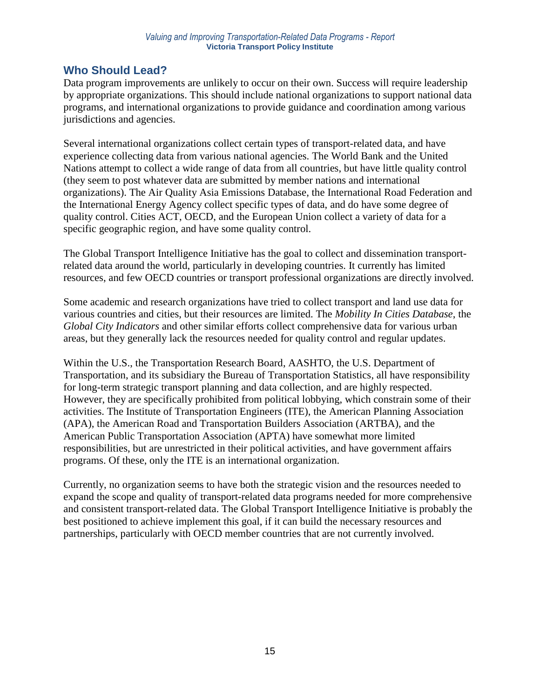# **Who Should Lead?**

Data program improvements are unlikely to occur on their own. Success will require leadership by appropriate organizations. This should include national organizations to support national data programs, and international organizations to provide guidance and coordination among various jurisdictions and agencies.

Several international organizations collect certain types of transport-related data, and have experience collecting data from various national agencies. The World Bank and the United Nations attempt to collect a wide range of data from all countries, but have little quality control (they seem to post whatever data are submitted by member nations and international organizations). The Air Quality Asia Emissions Database, the International Road Federation and the International Energy Agency collect specific types of data, and do have some degree of quality control. Cities ACT, OECD, and the European Union collect a variety of data for a specific geographic region, and have some quality control.

The Global Transport Intelligence Initiative has the goal to collect and dissemination transportrelated data around the world, particularly in developing countries. It currently has limited resources, and few OECD countries or transport professional organizations are directly involved.

Some academic and research organizations have tried to collect transport and land use data for various countries and cities, but their resources are limited. The *Mobility In Cities Database*, the *Global City Indicators* and other similar efforts collect comprehensive data for various urban areas, but they generally lack the resources needed for quality control and regular updates.

Within the U.S., the Transportation Research Board, AASHTO, the U.S. Department of Transportation, and its subsidiary the Bureau of Transportation Statistics, all have responsibility for long-term strategic transport planning and data collection, and are highly respected. However, they are specifically prohibited from political lobbying, which constrain some of their activities. The Institute of Transportation Engineers (ITE), the American Planning Association (APA), the American Road and Transportation Builders Association (ARTBA), and the American Public Transportation Association (APTA) have somewhat more limited responsibilities, but are unrestricted in their political activities, and have government affairs programs. Of these, only the ITE is an international organization.

Currently, no organization seems to have both the strategic vision and the resources needed to expand the scope and quality of transport-related data programs needed for more comprehensive and consistent transport-related data. The Global Transport Intelligence Initiative is probably the best positioned to achieve implement this goal, if it can build the necessary resources and partnerships, particularly with OECD member countries that are not currently involved.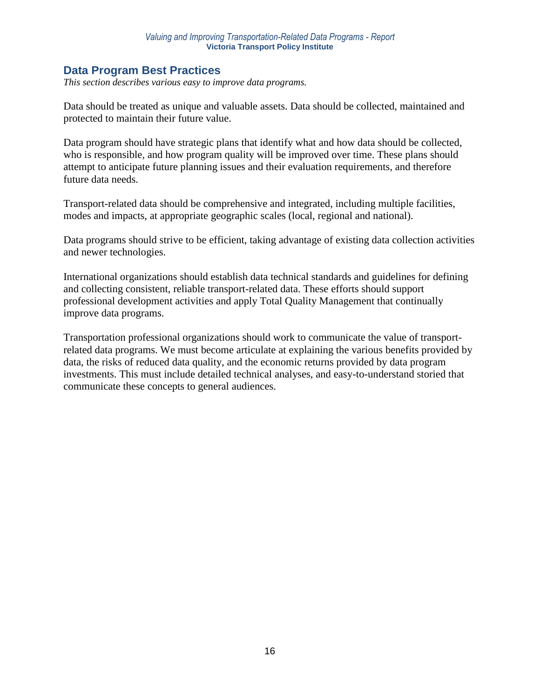# **Data Program Best Practices**

*This section describes various easy to improve data programs.*

Data should be treated as unique and valuable assets. Data should be collected, maintained and protected to maintain their future value.

Data program should have strategic plans that identify what and how data should be collected, who is responsible, and how program quality will be improved over time. These plans should attempt to anticipate future planning issues and their evaluation requirements, and therefore future data needs.

Transport-related data should be comprehensive and integrated, including multiple facilities, modes and impacts, at appropriate geographic scales (local, regional and national).

Data programs should strive to be efficient, taking advantage of existing data collection activities and newer technologies.

International organizations should establish data technical standards and guidelines for defining and collecting consistent, reliable transport-related data. These efforts should support professional development activities and apply Total Quality Management that continually improve data programs.

Transportation professional organizations should work to communicate the value of transportrelated data programs. We must become articulate at explaining the various benefits provided by data, the risks of reduced data quality, and the economic returns provided by data program investments. This must include detailed technical analyses, and easy-to-understand storied that communicate these concepts to general audiences.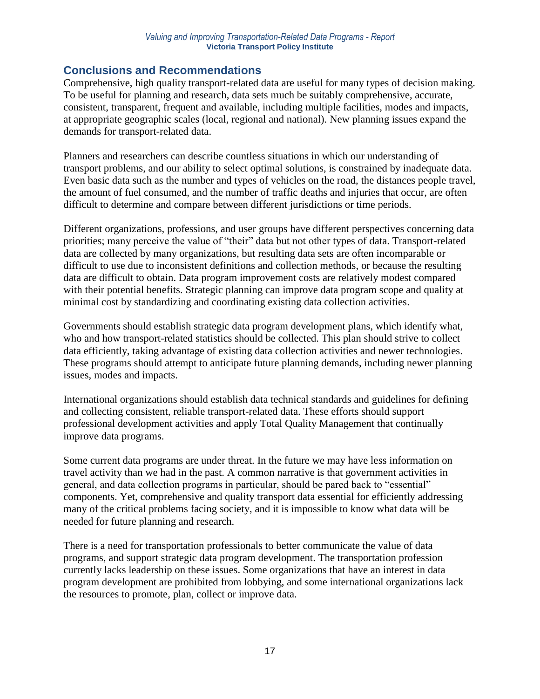# **Conclusions and Recommendations**

Comprehensive, high quality transport-related data are useful for many types of decision making. To be useful for planning and research, data sets much be suitably comprehensive, accurate, consistent, transparent, frequent and available, including multiple facilities, modes and impacts, at appropriate geographic scales (local, regional and national). New planning issues expand the demands for transport-related data.

Planners and researchers can describe countless situations in which our understanding of transport problems, and our ability to select optimal solutions, is constrained by inadequate data. Even basic data such as the number and types of vehicles on the road, the distances people travel, the amount of fuel consumed, and the number of traffic deaths and injuries that occur, are often difficult to determine and compare between different jurisdictions or time periods.

Different organizations, professions, and user groups have different perspectives concerning data priorities; many perceive the value of "their" data but not other types of data. Transport-related data are collected by many organizations, but resulting data sets are often incomparable or difficult to use due to inconsistent definitions and collection methods, or because the resulting data are difficult to obtain. Data program improvement costs are relatively modest compared with their potential benefits. Strategic planning can improve data program scope and quality at minimal cost by standardizing and coordinating existing data collection activities.

Governments should establish strategic data program development plans, which identify what, who and how transport-related statistics should be collected. This plan should strive to collect data efficiently, taking advantage of existing data collection activities and newer technologies. These programs should attempt to anticipate future planning demands, including newer planning issues, modes and impacts.

International organizations should establish data technical standards and guidelines for defining and collecting consistent, reliable transport-related data. These efforts should support professional development activities and apply Total Quality Management that continually improve data programs.

Some current data programs are under threat. In the future we may have less information on travel activity than we had in the past. A common narrative is that government activities in general, and data collection programs in particular, should be pared back to "essential" components. Yet, comprehensive and quality transport data essential for efficiently addressing many of the critical problems facing society, and it is impossible to know what data will be needed for future planning and research.

There is a need for transportation professionals to better communicate the value of data programs, and support strategic data program development. The transportation profession currently lacks leadership on these issues. Some organizations that have an interest in data program development are prohibited from lobbying, and some international organizations lack the resources to promote, plan, collect or improve data.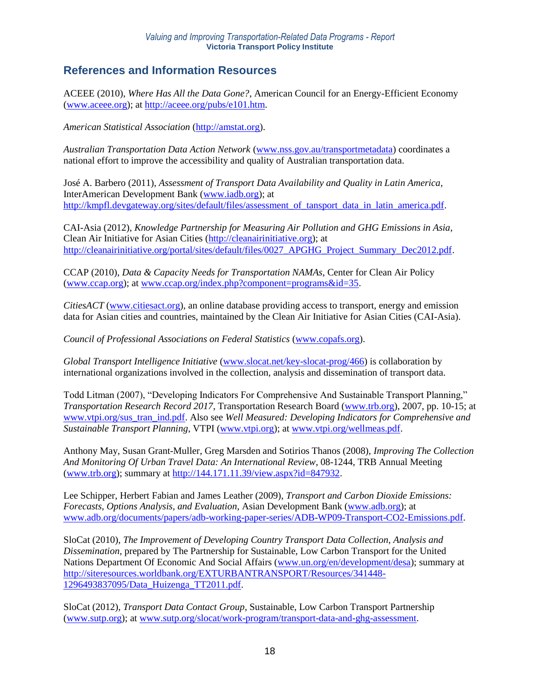# **References and Information Resources**

ACEEE (2010), *Where Has All the Data Gone?*, American Council for an Energy-Efficient Economy [\(www.aceee.org\)](http://www.aceee.org/); at [http://aceee.org/pubs/e101.htm.](http://aceee.org/pubs/e101.htm)

*American Statistical Association* [\(http://amstat.org\)](http://amstat.org/).

*Australian Transportation Data Action Network* [\(www.nss.gov.au/transportmetadata\)](http://www.nss.gov.au/transportmetadata) coordinates a national effort to improve the accessibility and quality of Australian transportation data.

José A. Barbero (2011), *Assessment of Transport Data Availability and Quality in Latin America*, InterAmerican Development Bank [\(www.iadb.org\)](http://www.iadb.org/); at [http://kmpfl.devgateway.org/sites/default/files/assessment\\_of\\_tansport\\_data\\_in\\_latin\\_america.pdf.](http://kmpfl.devgateway.org/sites/default/files/assessment_of_tansport_data_in_latin_america.pdf)

CAI-Asia (2012), *Knowledge Partnership for Measuring Air Pollution and GHG Emissions in Asia*, Clean Air Initiative for Asian Cities [\(http://cleanairinitiative.org\)](http://cleanairinitiative.org/); at http://cleanairinitiative.org/portal/sites/default/files/0027 APGHG Project Summary Dec2012.pdf.

CCAP (2010), *Data & Capacity Needs for Transportation NAMAs*, Center for Clean Air Policy [\(www.ccap.org\)](http://www.ccap.org/); at [www.ccap.org/index.php?component=programs&id=35.](http://www.ccap.org/index.php?component=programs&id=35)

*CitiesACT* [\(www.citiesact.org\)](http://www.citiesact.org/), an online database providing access to transport, energy and emission data for Asian cities and countries, maintained by the Clean Air Initiative for Asian Cities (CAI-Asia).

*Council of Professional Associations on Federal Statistics* [\(www.copafs.org\)](http://www.copafs.org/).

*Global Transport Intelligence Initiative* [\(www.slocat.net/key-slocat-prog/466\)](http://www.slocat.net/key-slocat-prog/466) is collaboration by international organizations involved in the collection, analysis and dissemination of transport data.

Todd Litman (2007), "Developing Indicators For Comprehensive And Sustainable Transport Planning," *Transportation Research Record 2017*, Transportation Research Board [\(www.trb.org\)](http://www.trb.org/), 2007, pp. 10-15; at [www.vtpi.org/sus\\_tran\\_ind.pdf.](http://www.vtpi.org/sus_tran_ind.pdf) Also see *Well Measured: Developing Indicators for Comprehensive and Sustainable Transport Planning*, VTPI [\(www.vtpi.org\)](http://www.vtpi.org/); at [www.vtpi.org/wellmeas.pdf.](http://www.vtpi.org/wellmeas.pdf)

Anthony May, Susan Grant-Muller, Greg Marsden and Sotirios Thanos (2008), *Improving The Collection And Monitoring Of Urban Travel Data: An International Review*, 08-1244, TRB Annual Meeting [\(www.trb.org\)](http://www.trb.org/); summary at [http://144.171.11.39/view.aspx?id=847932.](http://144.171.11.39/view.aspx?id=847932)

Lee Schipper, Herbert Fabian and James Leather (2009), *Transport and Carbon Dioxide Emissions: Forecasts, Options Analysis, and Evaluation*, Asian Development Bank [\(www.adb.org\)](http://www.adb.org/); at [www.adb.org/documents/papers/adb-working-paper-series/ADB-WP09-Transport-CO2-Emissions.pdf.](http://www.adb.org/documents/papers/adb-working-paper-series/ADB-WP09-Transport-CO2-Emissions.pdf)

SloCat (2010), *The Improvement of Developing Country Transport Data Collection, Analysis and Dissemination*, prepared by The Partnership for Sustainable, Low Carbon Transport for the United Nations Department Of Economic And Social Affairs [\(www.un.org/en/development/desa\)](http://www.un.org/en/development/desa); summary at [http://siteresources.worldbank.org/EXTURBANTRANSPORT/Resources/341448-](http://siteresources.worldbank.org/EXTURBANTRANSPORT/Resources/341448-1296493837095/Data_Huizenga_TT2011.pdf) [1296493837095/Data\\_Huizenga\\_TT2011.pdf.](http://siteresources.worldbank.org/EXTURBANTRANSPORT/Resources/341448-1296493837095/Data_Huizenga_TT2011.pdf)

SloCat (2012), *Transport Data Contact Group*, Sustainable, Low Carbon Transport Partnership [\(www.sutp.org\)](http://www.sutp.org/); at [www.sutp.org/slocat/work-program/transport-data-and-ghg-assessment.](http://www.sutp.org/slocat/work-program/transport-data-and-ghg-assessment)